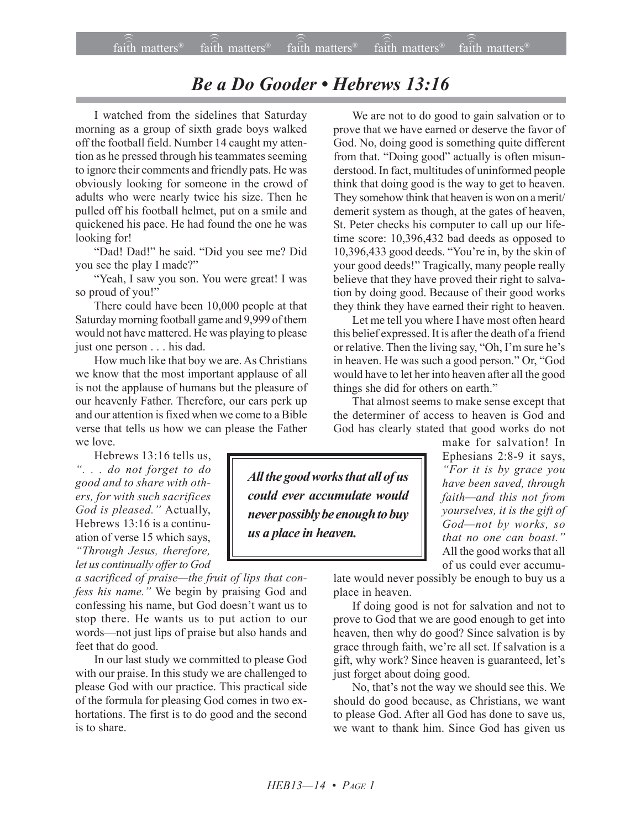## *Be a Do Gooder • Hebrews 13:16*

I watched from the sidelines that Saturday morning as a group of sixth grade boys walked off the football field. Number 14 caught my attention as he pressed through his teammates seeming to ignore their comments and friendly pats. He was obviously looking for someone in the crowd of adults who were nearly twice his size. Then he pulled off his football helmet, put on a smile and quickened his pace. He had found the one he was looking for!

"Dad! Dad!" he said. "Did you see me? Did you see the play I made?"

"Yeah, I saw you son. You were great! I was so proud of you!"

There could have been 10,000 people at that Saturday morning football game and 9,999 of them would not have mattered. He was playing to please just one person . . . his dad.

How much like that boy we are. As Christians we know that the most important applause of all is not the applause of humans but the pleasure of our heavenly Father. Therefore, our ears perk up and our attention is fixed when we come to a Bible verse that tells us how we can please the Father we love.

Hebrews 13:16 tells us, *ì. . . do not forget to do good and to share with others, for with such sacrifices* God is pleased." Actually, Hebrews 13:16 is a continuation of verse 15 which says, *ìThrough Jesus, therefore, let us continually offer to God*

*a sacrificed of praise—the fruit of lips that confess his name.î* We begin by praising God and confessing his name, but God doesn't want us to stop there. He wants us to put action to our words—not just lips of praise but also hands and feet that do good.

In our last study we committed to please God with our praise. In this study we are challenged to please God with our practice. This practical side of the formula for pleasing God comes in two exhortations. The first is to do good and the second is to share.

We are not to do good to gain salvation or to prove that we have earned or deserve the favor of God. No, doing good is something quite different from that. "Doing good" actually is often misunderstood. In fact, multitudes of uninformed people think that doing good is the way to get to heaven. They somehow think that heaven is won on a merit/ demerit system as though, at the gates of heaven, St. Peter checks his computer to call up our lifetime score: 10,396,432 bad deeds as opposed to 10,396,433 good deeds. "You're in, by the skin of your good deeds!" Tragically, many people really believe that they have proved their right to salvation by doing good. Because of their good works they think they have earned their right to heaven.

Let me tell you where I have most often heard this belief expressed. It is after the death of a friend or relative. Then the living say, "Oh, I'm sure he's in heaven. He was such a good person." Or, "God would have to let her into heaven after all the good things she did for others on earth."

That almost seems to make sense except that the determiner of access to heaven is God and God has clearly stated that good works do not

*All the good works that all of us could ever accumulate would never possibly be enough to buy us a place in heaven.*

make for salvation! In Ephesians 2:8-9 it says, *ìFor it is by grace you have been saved, through* faith—and this not from *yourselves, it is the gift of* God-not by works, so *that no one can boast.*" All the good works that all of us could ever accumu-

late would never possibly be enough to buy us a place in heaven.

If doing good is not for salvation and not to prove to God that we are good enough to get into heaven, then why do good? Since salvation is by grace through faith, we're all set. If salvation is a gift, why work? Since heaven is guaranteed, let's just forget about doing good.

No, that's not the way we should see this. We should do good because, as Christians, we want to please God. After all God has done to save us, we want to thank him. Since God has given us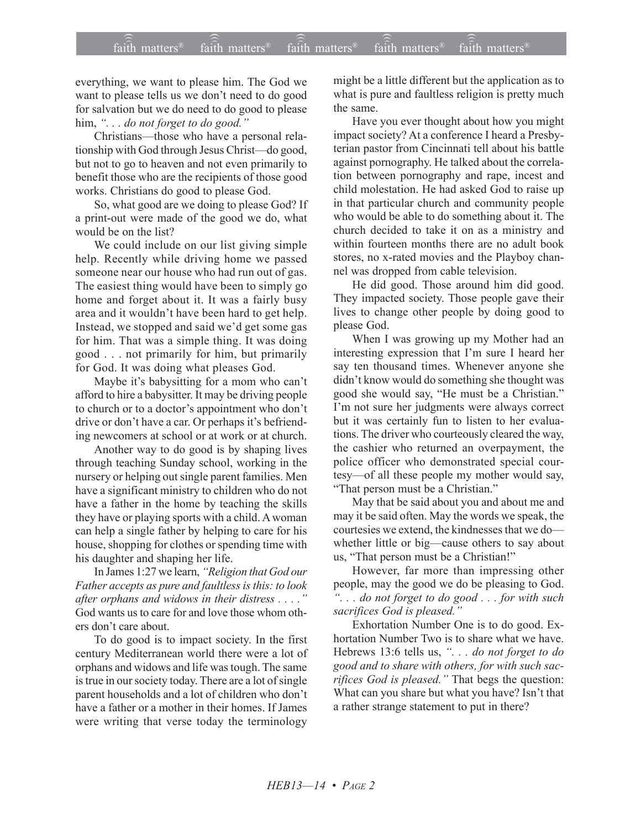everything, we want to please him. The God we want to please tells us we don't need to do good for salvation but we do need to do good to please him, "... do not forget to do good."

Christians—those who have a personal relationship with God through Jesus Christ-do good, but not to go to heaven and not even primarily to benefit those who are the recipients of those good works. Christians do good to please God.

So, what good are we doing to please God? If a print-out were made of the good we do, what would be on the list?

We could include on our list giving simple help. Recently while driving home we passed someone near our house who had run out of gas. The easiest thing would have been to simply go home and forget about it. It was a fairly busy area and it wouldn't have been hard to get help. Instead, we stopped and said we'd get some gas for him. That was a simple thing. It was doing good . . . not primarily for him, but primarily for God. It was doing what pleases God.

Maybe it's babysitting for a mom who can't afford to hire a babysitter. It may be driving people to church or to a doctor's appointment who don't drive or don't have a car. Or perhaps it's befriending newcomers at school or at work or at church.

Another way to do good is by shaping lives through teaching Sunday school, working in the nursery or helping out single parent families. Men have a significant ministry to children who do not have a father in the home by teaching the skills they have or playing sports with a child. A woman can help a single father by helping to care for his house, shopping for clothes or spending time with his daughter and shaping her life.

In James 1:27 we learn, *''Religion that God our Father accepts as pure and faultless is this: to look after orphans and widows in their distress . . . .î* God wants us to care for and love those whom others don't care about.

To do good is to impact society. In the first century Mediterranean world there were a lot of orphans and widows and life was tough. The same is true in our society today. There are a lot of single parent households and a lot of children who don't have a father or a mother in their homes. If James were writing that verse today the terminology

might be a little different but the application as to what is pure and faultless religion is pretty much the same.

Have you ever thought about how you might impact society? At a conference I heard a Presbyterian pastor from Cincinnati tell about his battle against pornography. He talked about the correlation between pornography and rape, incest and child molestation. He had asked God to raise up in that particular church and community people who would be able to do something about it. The church decided to take it on as a ministry and within fourteen months there are no adult book stores, no x-rated movies and the Playboy channel was dropped from cable television.

He did good. Those around him did good. They impacted society. Those people gave their lives to change other people by doing good to please God.

When I was growing up my Mother had an interesting expression that I'm sure I heard her say ten thousand times. Whenever anyone she didn't know would do something she thought was good she would say, "He must be a Christian." I'm not sure her judgments were always correct but it was certainly fun to listen to her evaluations. The driver who courteously cleared the way, the cashier who returned an overpayment, the police officer who demonstrated special courtesy—of all these people my mother would say, "That person must be a Christian."

May that be said about you and about me and may it be said often. May the words we speak, the courtesies we extend, the kindnesses that we dowhether little or big-cause others to say about us, "That person must be a Christian!"

However, far more than impressing other people, may the good we do be pleasing to God. *ì. . . do not forget to do good . . . for with such sacrifices God is pleased.*"

Exhortation Number One is to do good. Exhortation Number Two is to share what we have. Hebrews 13:6 tells us, ". . . *do not forget to do good and to share with others, for with such sacrifices God is pleased.*" That begs the question: What can you share but what you have? Isn't that a rather strange statement to put in there?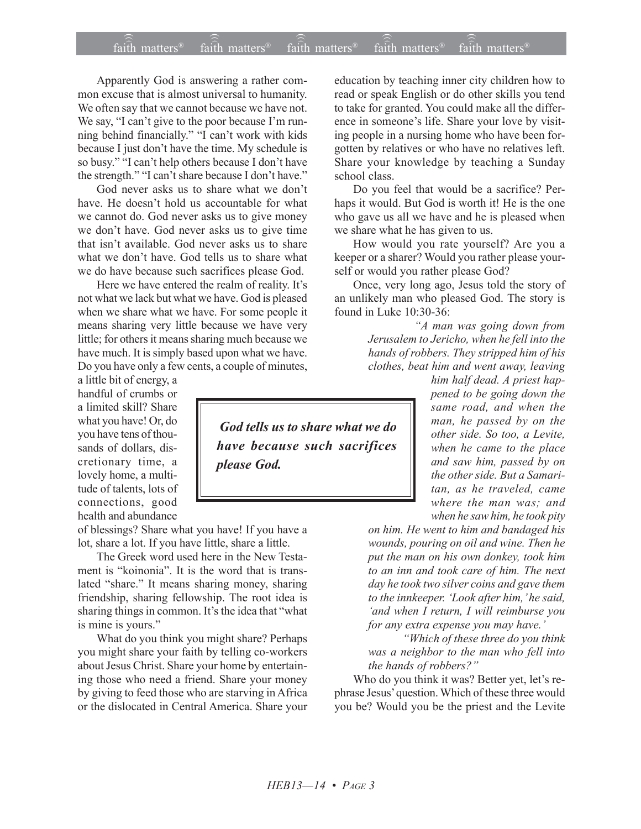## $\widehat{\widehat{\mathfrak{tair}}}$  matters  $^{\circ}$  faith matters faith matters  $^{\circ}$  faith matters faith matters  $^{\circ}$  $f$ aith matters<sup>®</sup> faith matters<sup>®</sup> faith matters<sup>®</sup>

Apparently God is answering a rather common excuse that is almost universal to humanity. We often say that we cannot because we have not. We say, "I can't give to the poor because I'm running behind financially." "I can't work with kids because I just don't have the time. My schedule is so busy." "I can't help others because I don't have the strength." "I can't share because I don't have."

God never asks us to share what we don't have. He doesn't hold us accountable for what we cannot do. God never asks us to give money we don't have. God never asks us to give time that isn't available. God never asks us to share what we don't have. God tells us to share what we do have because such sacrifices please God.

Here we have entered the realm of reality. It's not what we lack but what we have. God is pleased when we share what we have. For some people it means sharing very little because we have very little; for others it means sharing much because we have much. It is simply based upon what we have. Do you have only a few cents, a couple of minutes,

a little bit of energy, a handful of crumbs or a limited skill? Share what you have! Or, do you have tens of thousands of dollars, discretionary time, a lovely home, a multitude of talents, lots of connections, good health and abundance

of blessings? Share what you have! If you have a lot, share a lot. If you have little, share a little.

The Greek word used here in the New Testament is "koinonia". It is the word that is translated "share." It means sharing money, sharing friendship, sharing fellowship. The root idea is sharing things in common. It's the idea that "what is mine is yours."

What do you think you might share? Perhaps you might share your faith by telling co-workers about Jesus Christ. Share your home by entertaining those who need a friend. Share your money by giving to feed those who are starving in Africa or the dislocated in Central America. Share your

education by teaching inner city children how to read or speak English or do other skills you tend to take for granted. You could make all the difference in someone's life. Share your love by visiting people in a nursing home who have been forgotten by relatives or who have no relatives left. Share your knowledge by teaching a Sunday school class.

Do you feel that would be a sacrifice? Perhaps it would. But God is worth it! He is the one who gave us all we have and he is pleased when we share what he has given to us.

How would you rate yourself? Are you a keeper or a sharer? Would you rather please yourself or would you rather please God?

Once, very long ago, Jesus told the story of an unlikely man who pleased God. The story is found in Luke 10:30-36:

> *ìA man was going down from Jerusalem to Jericho, when he fell into the hands of robbers. They stripped him of his clothes, beat him and went away, leaving*

*him half dead. A priest happened to be going down the same road, and when the man, he passed by on the other side. So too, a Levite, when he came to the place and saw him, passed by on the other side. But a Samaritan, as he traveled, came where the man was; and when he saw him, he took pity*

*on him. He went to him and bandaged his wounds, pouring on oil and wine. Then he put the man on his own donkey, took him to an inn and took care of him. The next day he took two silver coins and gave them* to the innkeeper. 'Look after him, 'he said, *ëand when I return, I will reimburse you for any extra expense you may have.*<sup>*'*</sup>

 *ìWhich of these three do you think was a neighbor to the man who fell into the hands of robbers?*"

Who do you think it was? Better yet, let's rephrase Jesus' question. Which of these three would you be? Would you be the priest and the Levite

 *God tells us to share what we do have because such sacrifices please God.*